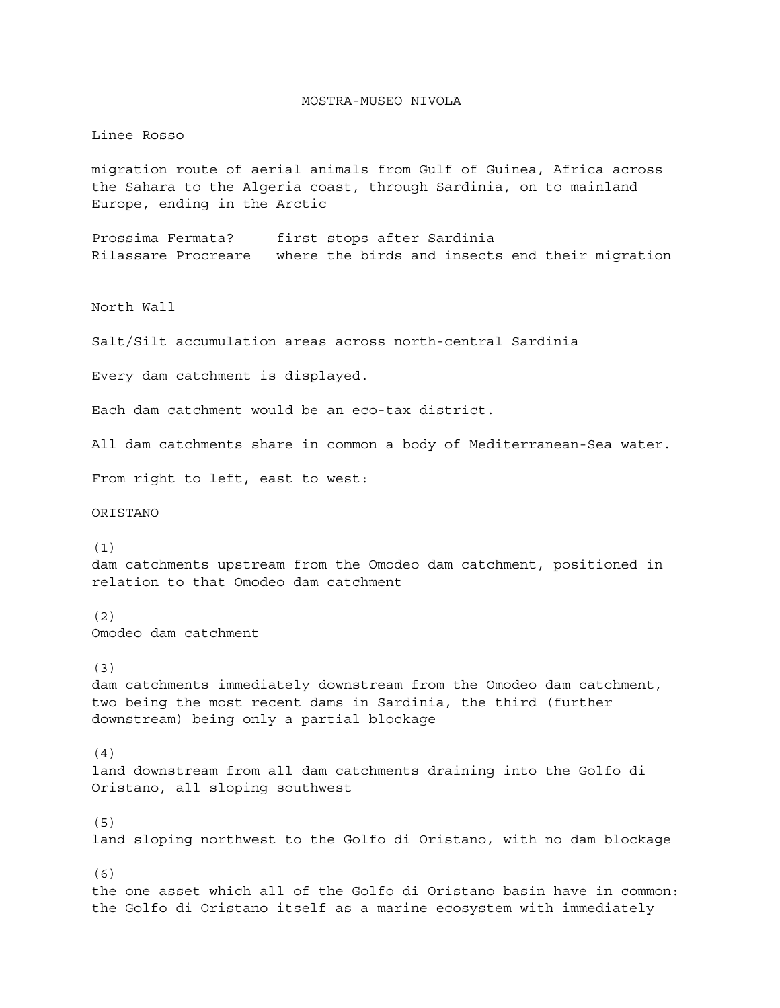## MOSTRA-MUSEO NIVOLA

## Linee Rosso

migration route of aerial animals from Gulf of Guinea, Africa across the Sahara to the Algeria coast, through Sardinia, on to mainland Europe, ending in the Arctic

Prossima Fermata? first stops after Sardinia Rilassare Procreare where the birds and insects end their migration

North Wall

Salt/Silt accumulation areas across north-central Sardinia

Every dam catchment is displayed.

Each dam catchment would be an eco-tax district.

All dam catchments share in common a body of Mediterranean-Sea water.

From right to left, east to west:

ORISTANO

(1) dam catchments upstream from the Omodeo dam catchment, positioned in relation to that Omodeo dam catchment

(2) Omodeo dam catchment

(3)

dam catchments immediately downstream from the Omodeo dam catchment, two being the most recent dams in Sardinia, the third (further downstream) being only a partial blockage

(4)

land downstream from all dam catchments draining into the Golfo di Oristano, all sloping southwest

(5) land sloping northwest to the Golfo di Oristano, with no dam blockage

(6) the one asset which all of the Golfo di Oristano basin have in common: the Golfo di Oristano itself as a marine ecosystem with immediately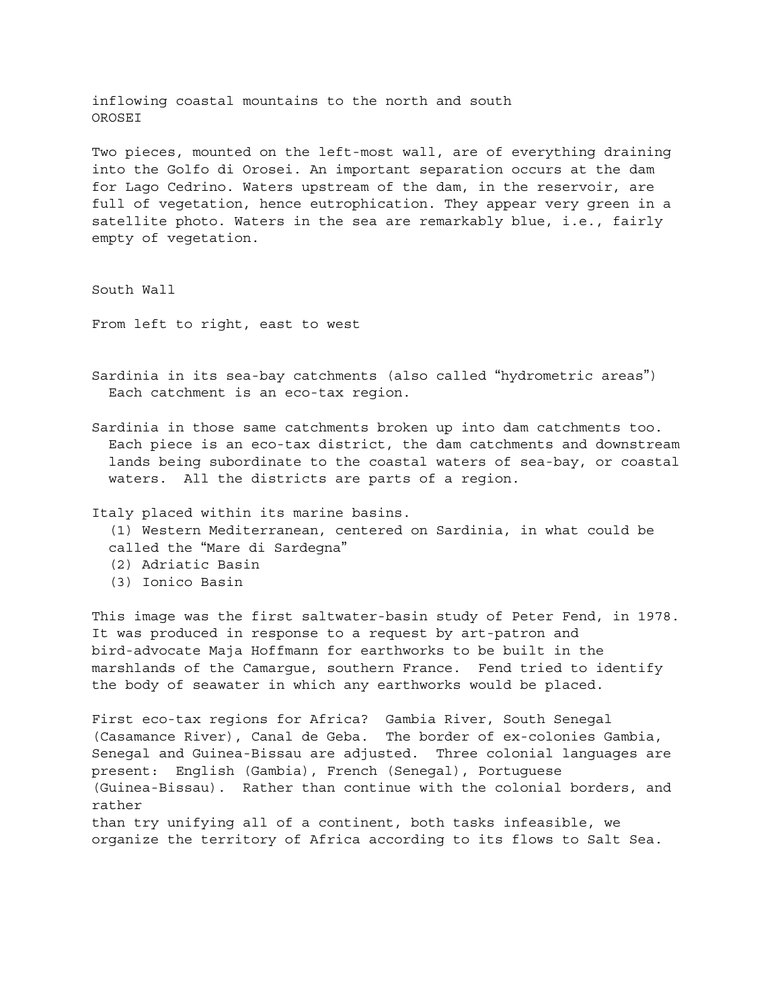inflowing coastal mountains to the north and south OROSEI

Two pieces, mounted on the left-most wall, are of everything draining into the Golfo di Orosei. An important separation occurs at the dam for Lago Cedrino. Waters upstream of the dam, in the reservoir, are full of vegetation, hence eutrophication. They appear very green in a satellite photo. Waters in the sea are remarkably blue, i.e., fairly empty of vegetation.

South Wall

From left to right, east to west

- Sardinia in its sea-bay catchments (also called "hydrometric areas") Each catchment is an eco-tax region.
- Sardinia in those same catchments broken up into dam catchments too. Each piece is an eco-tax district, the dam catchments and downstream lands being subordinate to the coastal waters of sea-bay, or coastal waters. All the districts are parts of a region.

Italy placed within its marine basins. (1) Western Mediterranean, centered on Sardinia, in what could be called the "Mare di Sardegna" (2) Adriatic Basin (3) Ionico Basin

This image was the first saltwater-basin study of Peter Fend, in 1978. It was produced in response to a request by art-patron and bird-advocate Maja Hoffmann for earthworks to be built in the marshlands of the Camargue, southern France. Fend tried to identify the body of seawater in which any earthworks would be placed.

First eco-tax regions for Africa? Gambia River, South Senegal (Casamance River), Canal de Geba. The border of ex-colonies Gambia, Senegal and Guinea-Bissau are adjusted. Three colonial languages are present: English (Gambia), French (Senegal), Portuguese (Guinea-Bissau). Rather than continue with the colonial borders, and rather than try unifying all of a continent, both tasks infeasible, we organize the territory of Africa according to its flows to Salt Sea.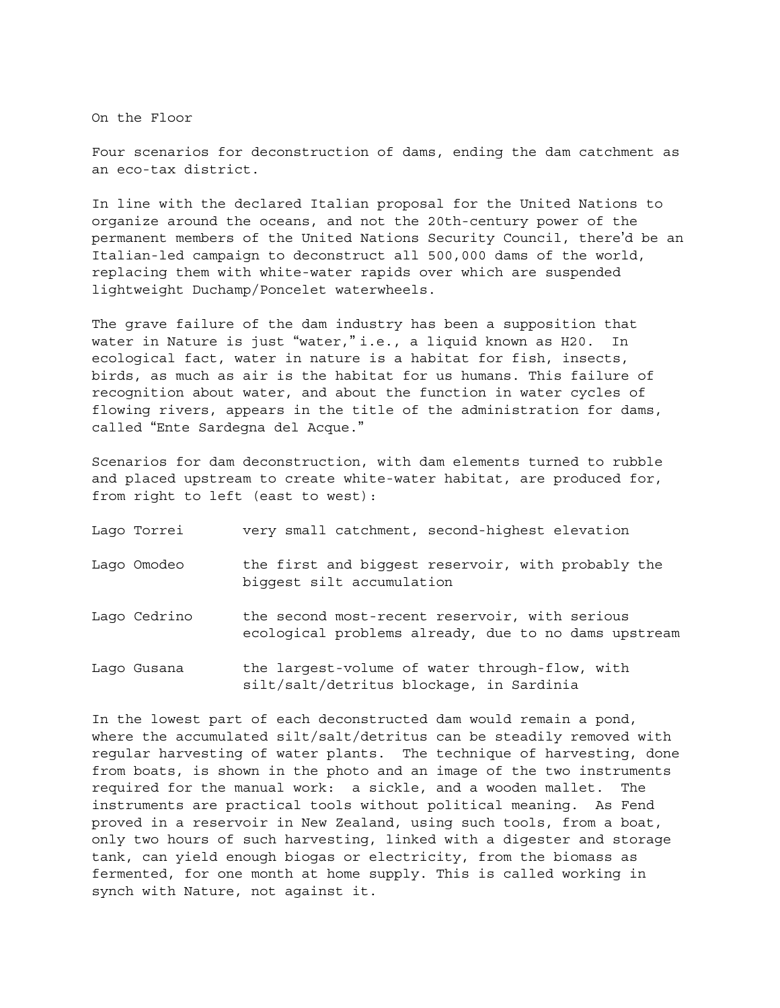On the Floor

Four scenarios for deconstruction of dams, ending the dam catchment as an eco-tax district.

In line with the declared Italian proposal for the United Nations to organize around the oceans, and not the 20th-century power of the permanent members of the United Nations Security Council, there'd be an Italian-led campaign to deconstruct all 500,000 dams of the world, replacing them with white-water rapids over which are suspended lightweight Duchamp/Poncelet waterwheels.

The grave failure of the dam industry has been a supposition that water in Nature is just "water," i.e., a liquid known as H20. In ecological fact, water in nature is a habitat for fish, insects, birds, as much as air is the habitat for us humans. This failure of recognition about water, and about the function in water cycles of flowing rivers, appears in the title of the administration for dams, called "Ente Sardegna del Acque."

Scenarios for dam deconstruction, with dam elements turned to rubble and placed upstream to create white-water habitat, are produced for, from right to left (east to west):

| Lago Torrei  | very small catchment, second-highest elevation                                                         |
|--------------|--------------------------------------------------------------------------------------------------------|
| Lago Omodeo  | the first and biggest reservoir, with probably the<br>biqqest silt accumulation                        |
| Lago Cedrino | the second most-recent reservoir, with serious<br>ecological problems already, due to no dams upstream |
| Lago Gusana  | the largest-volume of water through-flow, with<br>silt/salt/detritus blockage, in Sardinia             |

In the lowest part of each deconstructed dam would remain a pond, where the accumulated silt/salt/detritus can be steadily removed with regular harvesting of water plants. The technique of harvesting, done from boats, is shown in the photo and an image of the two instruments required for the manual work: a sickle, and a wooden mallet. The instruments are practical tools without political meaning. As Fend proved in a reservoir in New Zealand, using such tools, from a boat, only two hours of such harvesting, linked with a digester and storage tank, can yield enough biogas or electricity, from the biomass as fermented, for one month at home supply. This is called working in synch with Nature, not against it.